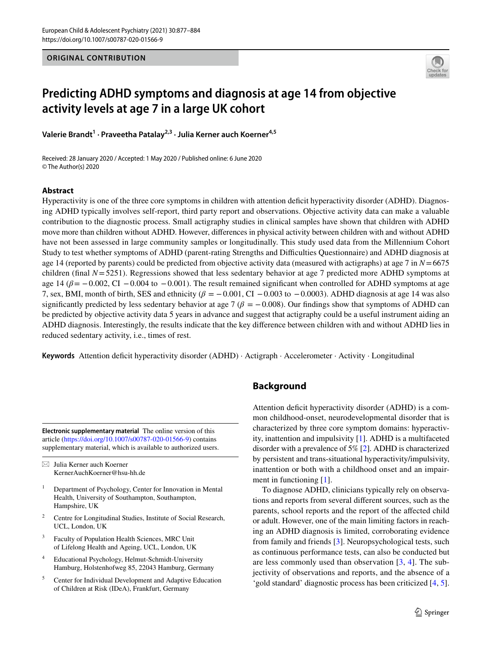**ORIGINAL CONTRIBUTION**



# **Predicting ADHD symptoms and diagnosis at age 14 from objective activity levels at age 7 in a large UK cohort**

**Valerie Brandt<sup>1</sup> · Praveetha Patalay2,3 · Julia Kerner auch Koerner4,5**

Received: 28 January 2020 / Accepted: 1 May 2020 / Published online: 6 June 2020 © The Author(s) 2020

# **Abstract**

Hyperactivity is one of the three core symptoms in children with attention defcit hyperactivity disorder (ADHD). Diagnosing ADHD typically involves self-report, third party report and observations. Objective activity data can make a valuable contribution to the diagnostic process. Small actigraphy studies in clinical samples have shown that children with ADHD move more than children without ADHD. However, diferences in physical activity between children with and without ADHD have not been assessed in large community samples or longitudinally. This study used data from the Millennium Cohort Study to test whether symptoms of ADHD (parent-rating Strengths and Difculties Questionnaire) and ADHD diagnosis at age 14 (reported by parents) could be predicted from objective activity data (measured with actigraphs) at age 7 in *N*=6675 children (final *N*=5251). Regressions showed that less sedentary behavior at age 7 predicted more ADHD symptoms at age 14 ( $\beta$  = −0.002, CI −0.004 to −0.001). The result remained significant when controlled for ADHD symptoms at age 7, sex, BMI, month of birth, SES and ethnicity ( $\beta = -0.001$ , CI  $-0.003$  to  $-0.0003$ ). ADHD diagnosis at age 14 was also significantly predicted by less sedentary behavior at age 7 ( $\beta = -0.008$ ). Our findings show that symptoms of ADHD can be predicted by objective activity data 5 years in advance and suggest that actigraphy could be a useful instrument aiding an ADHD diagnosis. Interestingly, the results indicate that the key diference between children with and without ADHD lies in reduced sedentary activity, i.e., times of rest.

**Keywords** Attention defcit hyperactivity disorder (ADHD) · Actigraph · Accelerometer · Activity · Longitudinal

**Electronic supplementary material** The online version of this article [\(https://doi.org/10.1007/s00787-020-01566-9\)](https://doi.org/10.1007/s00787-020-01566-9) contains supplementary material, which is available to authorized users.

 $\boxtimes$  Julia Kerner auch Koerner KernerAuchKoerner@hsu-hh.de

- <sup>1</sup> Department of Psychology, Center for Innovation in Mental Health, University of Southampton, Southampton, Hampshire, UK
- <sup>2</sup> Centre for Longitudinal Studies, Institute of Social Research, UCL, London, UK
- Faculty of Population Health Sciences, MRC Unit of Lifelong Health and Ageing, UCL, London, UK
- <sup>4</sup> Educational Psychology, Helmut-Schmidt-University Hamburg, Holstenhofweg 85, 22043 Hamburg, Germany
- <sup>5</sup> Center for Individual Development and Adaptive Education of Children at Risk (IDeA), Frankfurt, Germany

# **Background**

Attention deficit hyperactivity disorder (ADHD) is a common childhood-onset, neurodevelopmental disorder that is characterized by three core symptom domains: hyperactivity, inattention and impulsivity [\[1](#page-6-0)]. ADHD is a multifaceted disorder with a prevalence of 5% [\[2](#page-6-1)]. ADHD is characterized by persistent and trans-situational hyperactivity/impulsivity, inattention or both with a childhood onset and an impairment in functioning [[1\]](#page-6-0).

To diagnose ADHD, clinicians typically rely on observations and reports from several diferent sources, such as the parents, school reports and the report of the afected child or adult. However, one of the main limiting factors in reaching an ADHD diagnosis is limited, corroborating evidence from family and friends [[3\]](#page-6-2). Neuropsychological tests, such as continuous performance tests, can also be conducted but are less commonly used than observation [\[3](#page-6-2), [4\]](#page-6-3). The subjectivity of observations and reports, and the absence of a 'gold standard' diagnostic process has been criticized [[4,](#page-6-3) [5](#page-6-4)].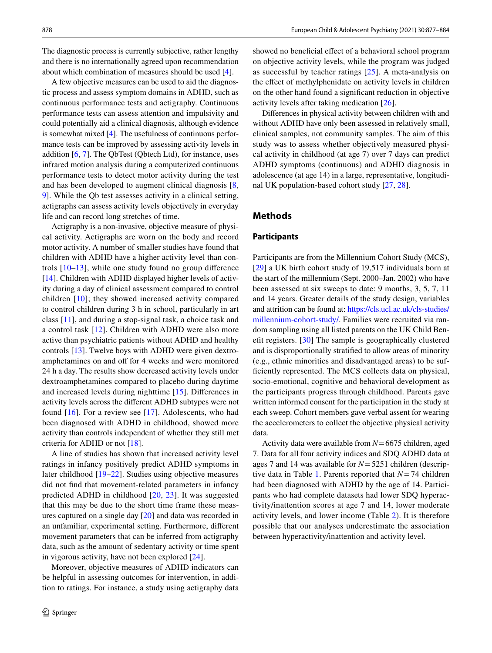The diagnostic process is currently subjective, rather lengthy and there is no internationally agreed upon recommendation about which combination of measures should be used [\[4](#page-6-3)].

A few objective measures can be used to aid the diagnostic process and assess symptom domains in ADHD, such as continuous performance tests and actigraphy. Continuous performance tests can assess attention and impulsivity and could potentially aid a clinical diagnosis, although evidence is somewhat mixed [\[4](#page-6-3)]. The usefulness of continuous performance tests can be improved by assessing activity levels in addition [[6,](#page-6-5) [7\]](#page-6-6). The QbTest (Qbtech Ltd), for instance, uses infrared motion analysis during a computerized continuous performance tests to detect motor activity during the test and has been developed to augment clinical diagnosis [\[8,](#page-6-7) [9](#page-6-8)]. While the Qb test assesses activity in a clinical setting, actigraphs can assess activity levels objectively in everyday life and can record long stretches of time.

Actigraphy is a non-invasive, objective measure of physical activity. Actigraphs are worn on the body and record motor activity. A number of smaller studies have found that children with ADHD have a higher activity level than controls [[10](#page-6-9)–[13\]](#page-6-10), while one study found no group diference [\[14](#page-6-11)]. Children with ADHD displayed higher levels of activity during a day of clinical assessment compared to control children [\[10\]](#page-6-9); they showed increased activity compared to control children during 3 h in school, particularly in art class [[11](#page-6-12)], and during a stop-signal task, a choice task and a control task [[12](#page-6-13)]. Children with ADHD were also more active than psychiatric patients without ADHD and healthy controls [[13\]](#page-6-10). Twelve boys with ADHD were given dextroamphetamines on and off for 4 weeks and were monitored 24 h a day. The results show decreased activity levels under dextroamphetamines compared to placebo during daytime and increased levels during nighttime [\[15](#page-6-14)]. Diferences in activity levels across the diferent ADHD subtypes were not found [[16\]](#page-6-15). For a review see [\[17\]](#page-6-16). Adolescents, who had been diagnosed with ADHD in childhood, showed more activity than controls independent of whether they still met criteria for ADHD or not [\[18\]](#page-6-17).

A line of studies has shown that increased activity level ratings in infancy positively predict ADHD symptoms in later childhood [[19](#page-6-18)[–22\]](#page-6-19). Studies using objective measures did not fnd that movement-related parameters in infancy predicted ADHD in childhood [[20,](#page-6-20) [23\]](#page-6-21). It was suggested that this may be due to the short time frame these measures captured on a single day [[20\]](#page-6-20) and data was recorded in an unfamiliar, experimental setting. Furthermore, diferent movement parameters that can be inferred from actigraphy data, such as the amount of sedentary activity or time spent in vigorous activity, have not been explored [[24\]](#page-6-22).

Moreover, objective measures of ADHD indicators can be helpful in assessing outcomes for intervention, in addition to ratings. For instance, a study using actigraphy data showed no beneficial effect of a behavioral school program on objective activity levels, while the program was judged as successful by teacher ratings [\[25\]](#page-6-23). A meta-analysis on the effect of methylphenidate on activity levels in children on the other hand found a signifcant reduction in objective activity levels after taking medication [\[26](#page-6-24)].

Diferences in physical activity between children with and without ADHD have only been assessed in relatively small, clinical samples, not community samples. The aim of this study was to assess whether objectively measured physical activity in childhood (at age 7) over 7 days can predict ADHD symptoms (continuous) and ADHD diagnosis in adolescence (at age 14) in a large, representative, longitudinal UK population-based cohort study [\[27](#page-6-25), [28](#page-6-26)].

# **Methods**

#### **Participants**

Participants are from the Millennium Cohort Study (MCS), [[29\]](#page-6-27) a UK birth cohort study of 19,517 individuals born at the start of the millennium (Sept. 2000–Jan. 2002) who have been assessed at six sweeps to date: 9 months, 3, 5, 7, 11 and 14 years. Greater details of the study design, variables and attrition can be found at: [https://cls.ucl.ac.uk/cls-studies/](https://cls.ucl.ac.uk/cls-studies/millennium-cohort-study/) [millennium-cohort-study/](https://cls.ucl.ac.uk/cls-studies/millennium-cohort-study/). Families were recruited via random sampling using all listed parents on the UK Child Beneft registers. [\[30](#page-6-28)] The sample is geographically clustered and is disproportionally stratifed to allow areas of minority (e.g., ethnic minorities and disadvantaged areas) to be suffciently represented. The MCS collects data on physical, socio-emotional, cognitive and behavioral development as the participants progress through childhood. Parents gave written informed consent for the participation in the study at each sweep. Cohort members gave verbal assent for wearing the accelerometers to collect the objective physical activity data.

Activity data were available from *N*=6675 children, aged 7. Data for all four activity indices and SDQ ADHD data at ages 7 and 14 was available for *N*=5251 children (descriptive data in Table [1](#page-2-0). Parents reported that *N*=74 children had been diagnosed with ADHD by the age of 14. Participants who had complete datasets had lower SDQ hyperactivity/inattention scores at age 7 and 14, lower moderate activity levels, and lower income (Table [2\)](#page-2-1). It is therefore possible that our analyses underestimate the association between hyperactivity/inattention and activity level.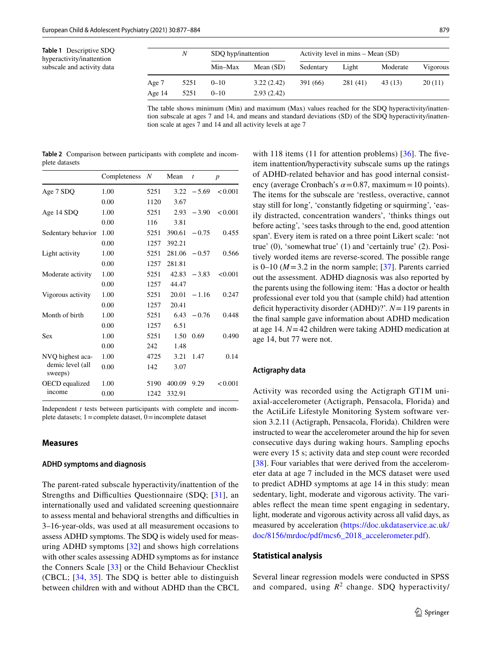<span id="page-2-0"></span>

| <b>Table 1</b> Descriptive SDQ |
|--------------------------------|
| hyperactivity/inattention      |
| subscale and activity data     |

|        | N    | SDQ hyp/inattention |             | Activity level in mins – Mean (SD) |          |          |          |  |  |
|--------|------|---------------------|-------------|------------------------------------|----------|----------|----------|--|--|
|        |      | Min-Max             | Mean $(SD)$ | Sedentary                          | Light    | Moderate | Vigorous |  |  |
| Age 7  | 5251 | $0 - 10$            | 3.22(2.42)  | 391 (66)                           | 281 (41) | 43(13)   | 20(11)   |  |  |
| Age 14 | 5251 | $0 - 10$            | 2.93(2.42)  |                                    |          |          |          |  |  |

The table shows minimum (Min) and maximum (Max) values reached for the SDQ hyperactivity/inattention subscale at ages 7 and 14, and means and standard deviations (SD) of the SDQ hyperactivity/inattention scale at ages 7 and 14 and all activity levels at age 7

<span id="page-2-1"></span>

|                | Table 2 Comparison between participants with complete and incom- |  |  |  |
|----------------|------------------------------------------------------------------|--|--|--|
| plete datasets |                                                                  |  |  |  |

|                             | Completeness | N    | Mean   | $\boldsymbol{t}$ | $\boldsymbol{p}$ |
|-----------------------------|--------------|------|--------|------------------|------------------|
| Age 7 SDQ                   | 1.00         | 5251 | 3.22   | $-5.69$          | < 0.001          |
|                             | 0.00         | 1120 | 3.67   |                  |                  |
| Age 14 SDQ                  | 1.00         | 5251 | 2.93   | $-3.90$          | < 0.001          |
|                             | 0.00         | 116  | 3.81   |                  |                  |
| Sedentary behavior          | 1.00         | 5251 | 390.61 | $-0.75$          | 0.455            |
|                             | 0.00         | 1257 | 392.21 |                  |                  |
| Light activity              | 1.00         | 5251 | 281.06 | $-0.57$          | 0.566            |
|                             | 0.00         | 1257 | 281.81 |                  |                  |
| Moderate activity           | 1.00         | 5251 | 42.83  | $-3.83$          | < 0.001          |
|                             | 0.00         | 1257 | 44.47  |                  |                  |
| Vigorous activity           | 1.00         | 5251 | 20.01  | $-1.16$          | 0.247            |
|                             | 0.00         | 1257 | 20.41  |                  |                  |
| Month of birth              | 1.00         | 5251 | 6.43   | $-0.76$          | 0.448            |
|                             | 0.00         | 1257 | 6.51   |                  |                  |
| Sex                         | 1.00         | 5251 | 1.50   | 0.69             | 0.490            |
|                             | 0.00         | 242  | 1.48   |                  |                  |
| NVQ highest aca-            | 1.00         | 4725 | 3.21   | 1.47             | 0.14             |
| demic level (all<br>sweeps) | 0.00         | 142  | 3.07   |                  |                  |
| OECD equalized              | 1.00         | 5190 | 400.09 | 9.29             | < 0.001          |
| income                      | 0.00         | 1242 | 332.91 |                  |                  |

Independent *t* tests between participants with complete and incomplete datasets;  $1 =$ complete dataset,  $0 =$ incomplete dataset

#### **Measures**

#### **ADHD symptoms and diagnosis**

The parent-rated subscale hyperactivity/inattention of the Strengths and Difficulties Questionnaire (SDQ; [\[31\]](#page-6-29), an internationally used and validated screening questionnaire to assess mental and behavioral strengths and difculties in 3–16-year-olds, was used at all measurement occasions to assess ADHD symptoms. The SDQ is widely used for measuring ADHD symptoms [[32\]](#page-6-30) and shows high correlations with other scales assessing ADHD symptoms as for instance the Conners Scale [[33\]](#page-6-31) or the Child Behaviour Checklist (CBCL; [[34](#page-6-32), [35\]](#page-6-33). The SDQ is better able to distinguish between children with and without ADHD than the CBCL

with 118 items (11 for attention problems) [[36](#page-7-0)]. The fiveitem inattention/hyperactivity subscale sums up the ratings of ADHD-related behavior and has good internal consistency (average Cronbach's  $\alpha$  = 0.87, maximum = 10 points). The items for the subscale are 'restless, overactive, cannot stay still for long', 'constantly fdgeting or squirming', 'easily distracted, concentration wanders', 'thinks things out before acting', 'sees tasks through to the end, good attention span'. Every item is rated on a three point Likert scale: 'not true' (0), 'somewhat true' (1) and 'certainly true' (2). Positively worded items are reverse-scored. The possible range is  $0-10$  ( $M = 3.2$  in the norm sample; [[37](#page-7-1)]. Parents carried out the assessment. ADHD diagnosis was also reported by the parents using the following item: 'Has a doctor or health professional ever told you that (sample child) had attention deficit hyperactivity disorder (ADHD)?'. *N* = 119 parents in the fnal sample gave information about ADHD medication at age 14. *N*=42 children were taking ADHD medication at age 14, but 77 were not.

#### **Actigraphy data**

Activity was recorded using the Actigraph GT1M uniaxial-accelerometer (Actigraph, Pensacola, Florida) and the ActiLife Lifestyle Monitoring System software version 3.2.11 (Actigraph, Pensacola, Florida). Children were instructed to wear the accelerometer around the hip for seven consecutive days during waking hours. Sampling epochs were every 15 s; activity data and step count were recorded [[38\]](#page-7-2). Four variables that were derived from the accelerometer data at age 7 included in the MCS dataset were used to predict ADHD symptoms at age 14 in this study: mean sedentary, light, moderate and vigorous activity. The variables refect the mean time spent engaging in sedentary, light, moderate and vigorous activity across all valid days, as measured by acceleration ([https://doc.ukdataservice.ac.uk/](https://doc.ukdataservice.ac.uk/doc/8156/mrdoc/pdf/mcs6_2018_accelerometer.pdf) [doc/8156/mrdoc/pdf/mcs6\\_2018\\_accelerometer.pdf](https://doc.ukdataservice.ac.uk/doc/8156/mrdoc/pdf/mcs6_2018_accelerometer.pdf)).

#### **Statistical analysis**

Several linear regression models were conducted in SPSS and compared, using  $R^2$  change. SDQ hyperactivity/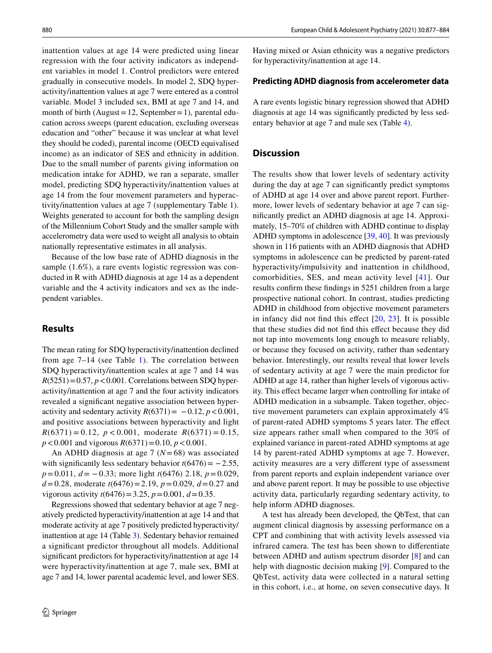inattention values at age 14 were predicted using linear regression with the four activity indicators as independent variables in model 1. Control predictors were entered gradually in consecutive models. In model 2, SDQ hyperactivity/inattention values at age 7 were entered as a control variable. Model 3 included sex, BMI at age 7 and 14, and month of birth (August = 12, September = 1), parental education across sweeps (parent education, excluding overseas education and "other" because it was unclear at what level they should be coded), parental income (OECD equivalised income) as an indicator of SES and ethnicity in addition. Due to the small number of parents giving information on medication intake for ADHD, we ran a separate, smaller model, predicting SDQ hyperactivity/inattention values at age 14 from the four movement parameters and hyperactivity/inattention values at age 7 (supplementary Table 1). Weights generated to account for both the sampling design of the Millennium Cohort Study and the smaller sample with accelerometry data were used to weight all analysis to obtain nationally representative estimates in all analysis.

Because of the low base rate of ADHD diagnosis in the sample (1.6%), a rare events logistic regression was conducted in R with ADHD diagnosis at age 14 as a dependent variable and the 4 activity indicators and sex as the independent variables.

## **Results**

The mean rating for SDQ hyperactivity/inattention declined from age  $7-14$  $7-14$  $7-14$  (see Table 1). The correlation between SDQ hyperactivity/inattention scales at age 7 and 14 was  $R(5251)=0.57$ ,  $p < 0.001$ . Correlations between SDQ hyperactivity/inattention at age 7 and the four activity indicators revealed a signifcant negative association between hyperactivity and sedentary activity  $R(6371) = -0.12$ ,  $p < 0.001$ , and positive associations between hyperactivity and light  $R(6371) = 0.12$ ,  $p < 0.001$ , moderate  $R(6371) = 0.15$ ,  $p < 0.001$  and vigorous  $R(6371) = 0.10$ ,  $p < 0.001$ .

An ADHD diagnosis at age 7 (*N*=68) was associated with significantly less sedentary behavior  $t(6476) = -2.55$ , *p*=0.011, *d* = −0.33; more light *t*(6476) 2.18, *p* = 0.029, *d*=0.28, moderate *t*(6476)=2.19, *p*=0.029, *d*=0.27 and *vigorous activity*  $t(6476) = 3.25$ *,*  $p = 0.001$ *,*  $d = 0.35$ *.* 

Regressions showed that sedentary behavior at age 7 negatively predicted hyperactivity/inattention at age 14 and that moderate activity at age 7 positively predicted hyperactivity/ inattention at age 14 (Table [3\)](#page-4-0). Sedentary behavior remained a signifcant predictor throughout all models. Additional signifcant predictors for hyperactivity/inattention at age 14 were hyperactivity/inattention at age 7, male sex, BMI at age 7 and 14, lower parental academic level, and lower SES.

Having mixed or Asian ethnicity was a negative predictors for hyperactivity/inattention at age 14.

#### **Predicting ADHD diagnosis from accelerometer data**

A rare events logistic binary regression showed that ADHD diagnosis at age 14 was signifcantly predicted by less sedentary behavior at age 7 and male sex (Table [4](#page-5-0)).

# **Discussion**

The results show that lower levels of sedentary activity during the day at age 7 can signifcantly predict symptoms of ADHD at age 14 over and above parent report. Furthermore, lower levels of sedentary behavior at age 7 can signifcantly predict an ADHD diagnosis at age 14. Approximately, 15–70% of children with ADHD continue to display ADHD symptoms in adolescence [\[39](#page-7-3), [40\]](#page-7-4). It was previously shown in 116 patients with an ADHD diagnosis that ADHD symptoms in adolescence can be predicted by parent-rated hyperactivity/impulsivity and inattention in childhood, comorbidities, SES, and mean activity level [[41\]](#page-7-5). Our results confrm these fndings in 5251 children from a large prospective national cohort. In contrast, studies predicting ADHD in childhood from objective movement parameters in infancy did not fnd this efect [[20,](#page-6-20) [23](#page-6-21)]. It is possible that these studies did not fnd this efect because they did not tap into movements long enough to measure reliably, or because they focused on activity, rather than sedentary behavior. Interestingly, our results reveal that lower levels of sedentary activity at age 7 were the main predictor for ADHD at age 14, rather than higher levels of vigorous activity. This efect became larger when controlling for intake of ADHD medication in a subsample. Taken together, objective movement parameters can explain approximately 4% of parent-rated ADHD symptoms 5 years later. The efect size appears rather small when compared to the 30% of explained variance in parent-rated ADHD symptoms at age 14 by parent-rated ADHD symptoms at age 7. However, activity measures are a very diferent type of assessment from parent reports and explain independent variance over and above parent report. It may be possible to use objective activity data, particularly regarding sedentary activity, to help inform ADHD diagnoses.

A test has already been developed, the QbTest, that can augment clinical diagnosis by assessing performance on a CPT and combining that with activity levels assessed via infrared camera. The test has been shown to diferentiate between ADHD and autism spectrum disorder [[8\]](#page-6-7) and can help with diagnostic decision making [\[9](#page-6-8)]. Compared to the QbTest, activity data were collected in a natural setting in this cohort, i.e., at home, on seven consecutive days. It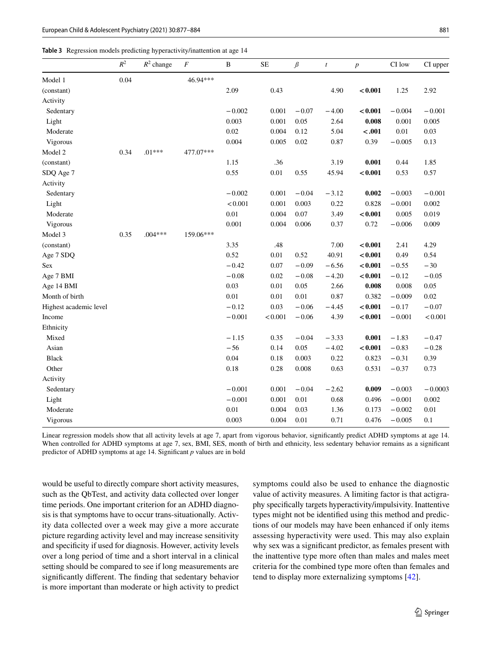<span id="page-4-0"></span>

|  |  |  |  |  | Table 3 Regression models predicting hyperactivity/inattention at age 14 |  |
|--|--|--|--|--|--------------------------------------------------------------------------|--|
|--|--|--|--|--|--------------------------------------------------------------------------|--|

|                        | $R^2$ | $R^2$ change | $\cal F$  | $\, {\bf B}$ | $\rm SE$ | $\mathcal{G}% _{M_{1},M_{2}}^{\alpha,\beta}(\mathcal{M}_{M_{1},M_{2}}^{\alpha,\beta}(\mathcal{M}_{M_{1},M_{2}}^{\alpha,\beta}))$ | $\boldsymbol{t}$ | $\boldsymbol{p}$ | CI low   | CI upper  |
|------------------------|-------|--------------|-----------|--------------|----------|----------------------------------------------------------------------------------------------------------------------------------|------------------|------------------|----------|-----------|
| Model 1                | 0.04  |              | 46.94***  |              |          |                                                                                                                                  |                  |                  |          |           |
| (constant)             |       |              |           | 2.09         | 0.43     |                                                                                                                                  | 4.90             | < 0.001          | 1.25     | 2.92      |
| Activity               |       |              |           |              |          |                                                                                                                                  |                  |                  |          |           |
| Sedentary              |       |              |           | $-0.002$     | 0.001    | $-0.07$                                                                                                                          | $-4.00$          | < 0.001          | $-0.004$ | $-0.001$  |
| Light                  |       |              |           | 0.003        | 0.001    | 0.05                                                                                                                             | 2.64             | 0.008            | 0.001    | 0.005     |
| Moderate               |       |              |           | 0.02         | 0.004    | 0.12                                                                                                                             | 5.04             | $-.001$          | $0.01\,$ | 0.03      |
| Vigorous               |       |              |           | 0.004        | 0.005    | 0.02                                                                                                                             | 0.87             | 0.39             | $-0.005$ | 0.13      |
| Model 2                | 0.34  | $.01***$     | 477.07*** |              |          |                                                                                                                                  |                  |                  |          |           |
| (constant)             |       |              |           | 1.15         | .36      |                                                                                                                                  | 3.19             | 0.001            | 0.44     | 1.85      |
| SDQ Age 7              |       |              |           | 0.55         | $0.01\,$ | 0.55                                                                                                                             | 45.94            | < 0.001          | 0.53     | 0.57      |
| Activity               |       |              |           |              |          |                                                                                                                                  |                  |                  |          |           |
| Sedentary              |       |              |           | $-0.002$     | 0.001    | $-0.04$                                                                                                                          | $-3.12$          | 0.002            | $-0.003$ | $-0.001$  |
| Light                  |       |              |           | < 0.001      | 0.001    | 0.003                                                                                                                            | 0.22             | 0.828            | $-0.001$ | 0.002     |
| Moderate               |       |              |           | 0.01         | 0.004    | 0.07                                                                                                                             | 3.49             | < 0.001          | 0.005    | 0.019     |
| Vigorous               |       |              |           | 0.001        | 0.004    | 0.006                                                                                                                            | 0.37             | 0.72             | $-0.006$ | 0.009     |
| Model 3                | 0.35  | $.004***$    | 159.06*** |              |          |                                                                                                                                  |                  |                  |          |           |
| (constant)             |       |              |           | 3.35         | .48      |                                                                                                                                  | 7.00             | < 0.001          | 2.41     | 4.29      |
| Age 7 SDQ              |       |              |           | 0.52         | 0.01     | 0.52                                                                                                                             | 40.91            | < 0.001          | 0.49     | 0.54      |
| <b>Sex</b>             |       |              |           | $-0.42$      | 0.07     | $-0.09$                                                                                                                          | $-6.56$          | < 0.001          | $-0.55$  | $-30$     |
| Age 7 BMI              |       |              |           | $-0.08$      | 0.02     | $-0.08$                                                                                                                          | $-4.20$          | < 0.001          | $-0.12$  | $-0.05$   |
| Age 14 BMI             |       |              |           | 0.03         | 0.01     | 0.05                                                                                                                             | 2.66             | 0.008            | 0.008    | 0.05      |
| Month of birth         |       |              |           | 0.01         | 0.01     | 0.01                                                                                                                             | 0.87             | 0.382            | $-0.009$ | 0.02      |
| Highest academic level |       |              |           | $-0.12$      | 0.03     | $-0.06$                                                                                                                          | $-4.45$          | < 0.001          | $-0.17$  | $-0.07$   |
| Income                 |       |              |           | $-0.001$     | < 0.001  | $-0.06$                                                                                                                          | 4.39             | < 0.001          | $-0.001$ | < 0.001   |
| Ethnicity              |       |              |           |              |          |                                                                                                                                  |                  |                  |          |           |
| Mixed                  |       |              |           | $-1.15$      | 0.35     | $-0.04$                                                                                                                          | $-3.33$          | 0.001            | $-1.83$  | $-0.47$   |
| Asian                  |       |              |           | $-56$        | 0.14     | 0.05                                                                                                                             | $-4.02$          | < 0.001          | $-0.83$  | $-0.28$   |
| <b>Black</b>           |       |              |           | 0.04         | 0.18     | 0.003                                                                                                                            | 0.22             | 0.823            | $-0.31$  | 0.39      |
| Other                  |       |              |           | 0.18         | 0.28     | 0.008                                                                                                                            | 0.63             | 0.531            | $-0.37$  | 0.73      |
| Activity               |       |              |           |              |          |                                                                                                                                  |                  |                  |          |           |
| Sedentary              |       |              |           | $-0.001$     | 0.001    | $-0.04$                                                                                                                          | $-2.62$          | 0.009            | $-0.003$ | $-0.0003$ |
| Light                  |       |              |           | $-0.001$     | 0.001    | 0.01                                                                                                                             | 0.68             | 0.496            | $-0.001$ | 0.002     |
| Moderate               |       |              |           | 0.01         | 0.004    | 0.03                                                                                                                             | 1.36             | 0.173            | $-0.002$ | 0.01      |
| Vigorous               |       |              |           | 0.003        | 0.004    | 0.01                                                                                                                             | 0.71             | 0.476            | $-0.005$ | 0.1       |

Linear regression models show that all activity levels at age 7, apart from vigorous behavior, signifcantly predict ADHD symptoms at age 14. When controlled for ADHD symptoms at age 7, sex, BMI, SES, month of birth and ethnicity, less sedentary behavior remains as a significant predictor of ADHD symptoms at age 14. Signifcant *p* values are in bold

would be useful to directly compare short activity measures, such as the QbTest, and activity data collected over longer time periods. One important criterion for an ADHD diagnosis is that symptoms have to occur trans-situationally. Activity data collected over a week may give a more accurate picture regarding activity level and may increase sensitivity and specifcity if used for diagnosis. However, activity levels over a long period of time and a short interval in a clinical setting should be compared to see if long measurements are signifcantly diferent. The fnding that sedentary behavior is more important than moderate or high activity to predict symptoms could also be used to enhance the diagnostic value of activity measures. A limiting factor is that actigraphy specifcally targets hyperactivity/impulsivity. Inattentive types might not be identifed using this method and predictions of our models may have been enhanced if only items assessing hyperactivity were used. This may also explain why sex was a signifcant predictor, as females present with the inattentive type more often than males and males meet criteria for the combined type more often than females and tend to display more externalizing symptoms [\[42](#page-7-6)].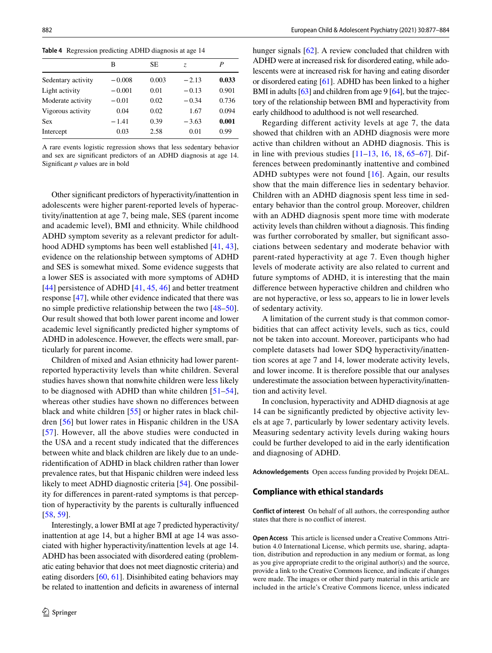<span id="page-5-0"></span>**Table 4** Regression predicting ADHD diagnosis at age 14

|                    | в        | SE    | Z.      | P     |
|--------------------|----------|-------|---------|-------|
| Sedentary activity | $-0.008$ | 0.003 | $-2.13$ | 0.033 |
| Light activity     | $-0.001$ | 0.01  | $-0.13$ | 0.901 |
| Moderate activity  | $-0.01$  | 0.02  | $-0.34$ | 0.736 |
| Vigorous activity  | 0.04     | 0.02  | 1.67    | 0.094 |
| Sex                | $-1.41$  | 0.39  | $-3.63$ | 0.001 |
| Intercept          | 0.03     | 2.58  | 0.01    | 0.99  |

A rare events logistic regression shows that less sedentary behavior and sex are signifcant predictors of an ADHD diagnosis at age 14. Signifcant *p* values are in bold

Other signifcant predictors of hyperactivity/inattention in adolescents were higher parent-reported levels of hyperactivity/inattention at age 7, being male, SES (parent income and academic level), BMI and ethnicity. While childhood ADHD symptom severity as a relevant predictor for adulthood ADHD symptoms has been well established [[41](#page-7-5), [43](#page-7-7)], evidence on the relationship between symptoms of ADHD and SES is somewhat mixed. Some evidence suggests that a lower SES is associated with more symptoms of ADHD [\[44\]](#page-7-8) persistence of ADHD [[41](#page-7-5), [45](#page-7-9), [46](#page-7-10)] and better treatment response [[47\]](#page-7-11), while other evidence indicated that there was no simple predictive relationship between the two [[48](#page-7-12)[–50](#page-7-13)]. Our result showed that both lower parent income and lower academic level signifcantly predicted higher symptoms of ADHD in adolescence. However, the effects were small, particularly for parent income.

Children of mixed and Asian ethnicity had lower parentreported hyperactivity levels than white children. Several studies haves shown that nonwhite children were less likely to be diagnosed with ADHD than white children [[51–](#page-7-14)[54](#page-7-15)], whereas other studies have shown no diferences between black and white children [\[55\]](#page-7-16) or higher rates in black children [[56\]](#page-7-17) but lower rates in Hispanic children in the USA [[57](#page-7-18)]. However, all the above studies were conducted in the USA and a recent study indicated that the diferences between white and black children are likely due to an underidentifcation of ADHD in black children rather than lower prevalence rates, but that Hispanic children were indeed less likely to meet ADHD diagnostic criteria [\[54](#page-7-15)]. One possibility for diferences in parent-rated symptoms is that perception of hyperactivity by the parents is culturally infuenced [\[58,](#page-7-19) [59\]](#page-7-20).

Interestingly, a lower BMI at age 7 predicted hyperactivity/ inattention at age 14, but a higher BMI at age 14 was associated with higher hyperactivity/inattention levels at age 14. ADHD has been associated with disordered eating (problematic eating behavior that does not meet diagnostic criteria) and eating disorders [[60,](#page-7-21) [61\]](#page-7-22). Disinhibited eating behaviors may be related to inattention and deficits in awareness of internal hunger signals [[62\]](#page-7-23). A review concluded that children with ADHD were at increased risk for disordered eating, while adolescents were at increased risk for having and eating disorder or disordered eating [\[61\]](#page-7-22). ADHD has been linked to a higher BMI in adults [\[63\]](#page-7-24) and children from age 9 [\[64](#page-7-25)], but the trajectory of the relationship between BMI and hyperactivity from early childhood to adulthood is not well researched.

Regarding different activity levels at age 7, the data showed that children with an ADHD diagnosis were more active than children without an ADHD diagnosis. This is in line with previous studies  $[11–13, 16, 18, 65–67]$  $[11–13, 16, 18, 65–67]$  $[11–13, 16, 18, 65–67]$  $[11–13, 16, 18, 65–67]$  $[11–13, 16, 18, 65–67]$  $[11–13, 16, 18, 65–67]$  $[11–13, 16, 18, 65–67]$  $[11–13, 16, 18, 65–67]$  $[11–13, 16, 18, 65–67]$  $[11–13, 16, 18, 65–67]$  $[11–13, 16, 18, 65–67]$ . Differences between predominantly inattentive and combined ADHD subtypes were not found [[16](#page-6-15)]. Again, our results show that the main diference lies in sedentary behavior. Children with an ADHD diagnosis spent less time in sedentary behavior than the control group. Moreover, children with an ADHD diagnosis spent more time with moderate activity levels than children without a diagnosis. This fnding was further corroborated by smaller, but significant associations between sedentary and moderate behavior with parent-rated hyperactivity at age 7. Even though higher levels of moderate activity are also related to current and future symptoms of ADHD, it is interesting that the main diference between hyperactive children and children who are not hyperactive, or less so, appears to lie in lower levels of sedentary activity.

A limitation of the current study is that common comorbidities that can afect activity levels, such as tics, could not be taken into account. Moreover, participants who had complete datasets had lower SDQ hyperactivity/inattention scores at age 7 and 14, lower moderate activity levels, and lower income. It is therefore possible that our analyses underestimate the association between hyperactivity/inattention and activity level.

In conclusion, hyperactivity and ADHD diagnosis at age 14 can be signifcantly predicted by objective activity levels at age 7, particularly by lower sedentary activity levels. Measuring sedentary activity levels during waking hours could be further developed to aid in the early identifcation and diagnosing of ADHD.

**Acknowledgements** Open access funding provided by Projekt DEAL.

### **Compliance with ethical standards**

**Conflict of interest** On behalf of all authors, the corresponding author states that there is no confict of interest.

**Open Access** This article is licensed under a Creative Commons Attribution 4.0 International License, which permits use, sharing, adaptation, distribution and reproduction in any medium or format, as long as you give appropriate credit to the original author(s) and the source, provide a link to the Creative Commons licence, and indicate if changes were made. The images or other third party material in this article are included in the article's Creative Commons licence, unless indicated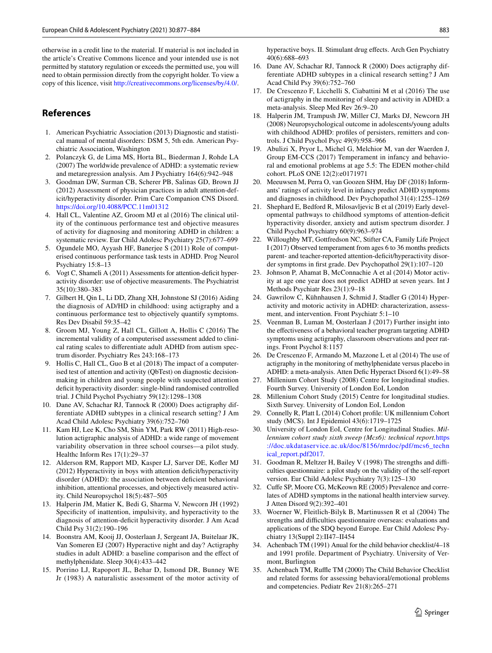otherwise in a credit line to the material. If material is not included in the article's Creative Commons licence and your intended use is not permitted by statutory regulation or exceeds the permitted use, you will need to obtain permission directly from the copyright holder. To view a copy of this licence, visit <http://creativecommons.org/licenses/by/4.0/>.

# **References**

- <span id="page-6-0"></span>1. American Psychiatric Association (2013) Diagnostic and statistical manual of mental disorders: DSM 5, 5th edn. American Psychiatric Association, Washington
- <span id="page-6-1"></span>2. Polanczyk G, de Lima MS, Horta BL, Biederman J, Rohde LA (2007) The worldwide prevalence of ADHD: a systematic review and metaregression analysis. Am J Psychiatry 164(6):942–948
- <span id="page-6-2"></span>3. Goodman DW, Surman CB, Scherer PB, Salinas GD, Brown JJ (2012) Assessment of physician practices in adult attention-deficit/hyperactivity disorder. Prim Care Companion CNS Disord. <https://doi.org/10.4088/PCC.11m01312>
- <span id="page-6-3"></span>4. Hall CL, Valentine AZ, Groom MJ et al (2016) The clinical utility of the continuous performance test and objective measures of activity for diagnosing and monitoring ADHD in children: a systematic review. Eur Child Adolesc Psychiatry 25(7):677–699
- <span id="page-6-4"></span>5. Ogundele MO, Ayyash HF, Banerjee S (2011) Role of computerised continuous performance task tests in ADHD. Prog Neurol Psychiatry 15:8–13
- <span id="page-6-5"></span>6. Vogt C, Shameli A (2011) Assessments for attention-deficit hyperactivity disorder: use of objective measurements. The Psychiatrist 35(10):380–383
- <span id="page-6-6"></span>7. Gilbert H, Qin L, Li DD, Zhang XH, Johnstone SJ (2016) Aiding the diagnosis of AD/HD in childhood: using actigraphy and a continuous performance test to objectively quantify symptoms. Res Dev Disabil 59:35–42
- <span id="page-6-7"></span>8. Groom MJ, Young Z, Hall CL, Gillott A, Hollis C (2016) The incremental validity of a computerised assessment added to clinical rating scales to diferentiate adult ADHD from autism spectrum disorder. Psychiatry Res 243:168–173
- <span id="page-6-8"></span>9. Hollis C, Hall CL, Guo B et al (2018) The impact of a computerised test of attention and activity (QbTest) on diagnostic decisionmaking in children and young people with suspected attention deficit hyperactivity disorder: single-blind randomised controlled trial. J Child Psychol Psychiatry 59(12):1298–1308
- <span id="page-6-9"></span>10. Dane AV, Schachar RJ, Tannock R (2000) Does actigraphy differentiate ADHD subtypes in a clinical research setting? J Am Acad Child Adolesc Psychiatry 39(6):752–760
- <span id="page-6-12"></span>11. Kam HJ, Lee K, Cho SM, Shin YM, Park RW (2011) High-resolution actigraphic analysis of ADHD: a wide range of movement variability observation in three school courses—a pilot study. Healthc Inform Res 17(1):29–37
- <span id="page-6-13"></span>12. Alderson RM, Rapport MD, Kasper LJ, Sarver DE, Kofer MJ (2012) Hyperactivity in boys with attention defcit/hyperactivity disorder (ADHD): the association between deficient behavioral inhibition, attentional processes, and objectively measured activity. Child Neuropsychol 18(5):487–505
- <span id="page-6-10"></span>13. Halperin JM, Matier K, Bedi G, Sharma V, Newcorn JH (1992) Specifcity of inattention, impulsivity, and hyperactivity to the diagnosis of attention-deficit hyperactivity disorder. J Am Acad Child Psy 31(2):190–196
- <span id="page-6-11"></span>14. Boonstra AM, Kooij JJ, Oosterlaan J, Sergeant JA, Buitelaar JK, Van Someren EJ (2007) Hyperactive night and day? Actigraphy studies in adult ADHD: a baseline comparison and the efect of methylphenidate. Sleep 30(4):433–442
- <span id="page-6-14"></span>15. Porrino LJ, Rapoport JL, Behar D, Ismond DR, Bunney WE Jr (1983) A naturalistic assessment of the motor activity of

hyperactive boys. II. Stimulant drug efects. Arch Gen Psychiatry 40(6):688–693

- <span id="page-6-15"></span>16. Dane AV, Schachar RJ, Tannock R (2000) Does actigraphy differentiate ADHD subtypes in a clinical research setting? J Am Acad Child Psy 39(6):752–760
- <span id="page-6-16"></span>17. De Crescenzo F, Licchelli S, Ciabattini M et al (2016) The use of actigraphy in the monitoring of sleep and activity in ADHD: a meta-analysis. Sleep Med Rev 26:9–20
- <span id="page-6-17"></span>18. Halperin JM, Trampush JW, Miller CJ, Marks DJ, Newcorn JH (2008) Neuropsychological outcome in adolescents/young adults with childhood ADHD: profles of persisters, remitters and controls. J Child Psychol Psyc 49(9):958–966
- <span id="page-6-18"></span>19. Abulizi X, Pryor L, Michel G, Melchior M, van der Waerden J, Group EM-CCS (2017) Temperament in infancy and behavioral and emotional problems at age 5.5: The EDEN mother-child cohort. PLoS ONE 12(2):e0171971
- <span id="page-6-20"></span>20. Meeuwsen M, Perra O, van Goozen SHM, Hay DF (2018) Informants' ratings of activity level in infancy predict ADHD symptoms and diagnoses in childhood. Dev Psychopathol 31(4):1255–1269
- 21. Shephard E, Bedford R, Milosavljevic B et al (2019) Early developmental pathways to childhood symptoms of attention-defcit hyperactivity disorder, anxiety and autism spectrum disorder. J Child Psychol Psychiatry 60(9):963–974
- <span id="page-6-19"></span>22. Willoughby MT, Gottfredson NC, Stifter CA, Family Life Project I (2017) Observed temperament from ages 6 to 36 months predicts parent- and teacher-reported attention-deficit/hyperactivity disorder symptoms in frst grade. Dev Psychopathol 29(1):107–120
- <span id="page-6-21"></span>23. Johnson P, Ahamat B, McConnachie A et al (2014) Motor activity at age one year does not predict ADHD at seven years. Int J Methods Psychiatr Res 23(1):9–18
- <span id="page-6-22"></span>24. Gawrilow C, Kühnhausen J, Schmid J, Stadler G (2014) Hyperactivity and motoric activity in ADHD: characterization, assessment, and intervention. Front Psychiatr 5:1–10
- <span id="page-6-23"></span>25. Veenman B, Luman M, Oosterlaan J (2017) Further insight into the efectiveness of a behavioral teacher program targeting ADHD symptoms using actigraphy, classroom observations and peer ratings. Front Psychol 8:1157
- <span id="page-6-24"></span>26. De Crescenzo F, Armando M, Mazzone L et al (2014) The use of actigraphy in the monitoring of methylphenidate versus placebo in ADHD: a meta-analysis. Atten Defc Hyperact Disord 6(1):49–58
- <span id="page-6-25"></span>27. Millenium Cohort Study (2008) Centre for longitudinal studies. Fourth Survey. University of London EoI, London
- <span id="page-6-26"></span>28. Millenium Cohort Study (2015) Centre for longitudinal studies. Sixth Survey. University of London EoI, London
- <span id="page-6-27"></span>29. Connelly R, Platt L (2014) Cohort profle: UK millennium Cohort study (MCS). Int J Epidemiol 43(6):1719–1725
- <span id="page-6-28"></span>30. University of London EoI, Centre for Longitudinal Studies. *Millennium cohort study sixth sweep (Mcs6): technical report.*[https](http://doc.ukdataservice.ac.uk/doc/8156/mrdoc/pdf/mcs6_technical_report.pdf2017) [://doc.ukdataservice.ac.uk/doc/8156/mrdoc/pdf/mcs6\\_techn](http://doc.ukdataservice.ac.uk/doc/8156/mrdoc/pdf/mcs6_technical_report.pdf2017) [ical\\_report.pdf2017](http://doc.ukdataservice.ac.uk/doc/8156/mrdoc/pdf/mcs6_technical_report.pdf2017)*.*
- <span id="page-6-29"></span>31. Goodman R, Meltzer H, Bailey V (1998) The strengths and difficulties questionnaire: a pilot study on the validity of the self-report version. Eur Child Adolesc Psychiatry 7(3):125–130
- <span id="page-6-30"></span>32. Cufe SP, Moore CG, McKeown RE (2005) Prevalence and correlates of ADHD symptoms in the national health interview survey. J Atten Disord 9(2):392–401
- <span id="page-6-31"></span>33. Woerner W, Fleitlich-Bilyk B, Martinussen R et al (2004) The strengths and difficulties questionnaire overseas: evaluations and applications of the SDQ beyond Europe. Eur Child Adolesc Psychiatry 13(Suppl 2):II47–II454
- <span id="page-6-32"></span>34. Achenbach TM (1991) Anual for the child behavior checklist/4–18 and 1991 profle. Department of Psychiatry. University of Vermont, Burlington
- <span id="page-6-33"></span>35. Achenbach TM, Ruffle TM (2000) The Child Behavior Checklist and related forms for assessing behavioral/emotional problems and competencies. Pediatr Rev 21(8):265–271